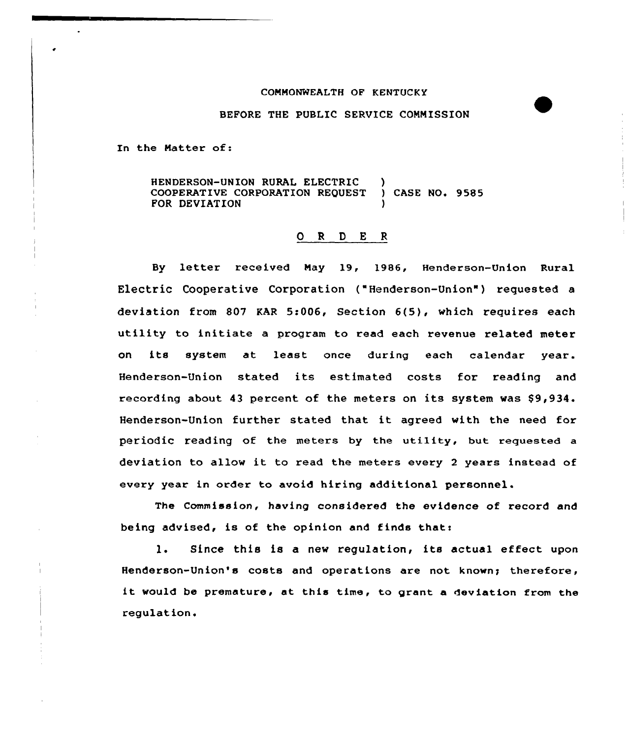## COMMONWEALTH OF KENTUCKY

## BEFORE THE PUBLIC SERVICE COMMISSION

In the Matter of:

HENDERSON-UNION RURAL ELECTRIC )<br>COOPERATIVE CORPORATION REQUEST ) CASE NO. 9585 COOPERATIVE CORPORATION REQUEST FOR DEVIATION

## 0 <sup>R</sup> <sup>D</sup> E <sup>R</sup>

By letter xeceived May 19, 1986, Henderson-Union Ruxal Electric Cooperative Corporation ("Henderson-Union" ) requested <sup>a</sup> deviation from 807 KAR 5:006, Section 6(5), which requires each utility to initiate a program to read each revenue related meter on its system at least once duxing each calendax yeax. Henderson-Union stated its estimated costs for reading and recording about 43 percent of the meters on its system was  $$9,934$ . Henderson-Union further stated that it agreed with the need for periodic reading of the meters by the utility, but requested <sup>a</sup> deviation to allow it to read the meters every <sup>2</sup> years instead of every year in order to avoid hiring additional personnel.

The Commission, having considered the evidence of record and being advised, is of the opinion and finds that:

1. Since this is <sup>a</sup> new regulation, its actual effect upon Henderson-Union's costs and operations are not known; therefore, it would be premature, at this time, to grant <sup>a</sup> deviation from the regulation.